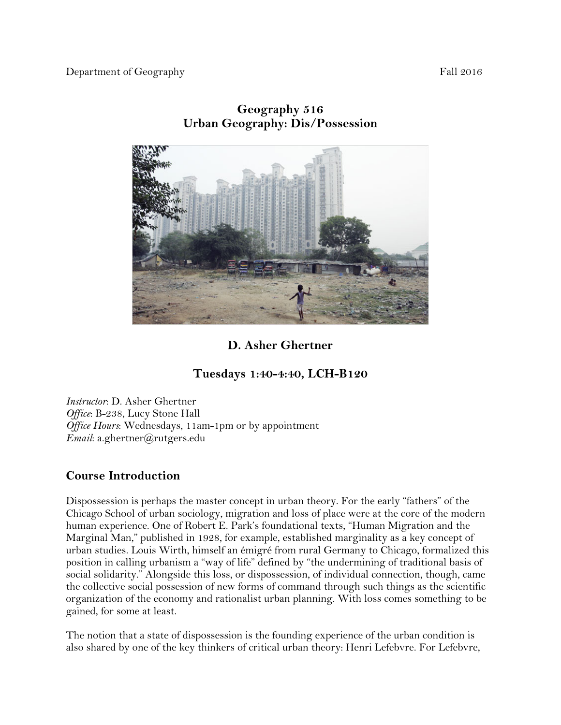Department of Geography Fall 2016



# **Geography 516 Urban Geography: Dis/Possession**

# **D. Asher Ghertner**

# **Tuesdays 1:40-4:40, LCH-B120**

*Instructor*: D. Asher Ghertner *Office*: B-238, Lucy Stone Hall *Office Hours*: Wednesdays, 11am-1pm or by appointment *Email*: a.ghertner@rutgers.edu

# **Course Introduction**

Dispossession is perhaps the master concept in urban theory. For the early "fathers" of the Chicago School of urban sociology, migration and loss of place were at the core of the modern human experience. One of Robert E. Park's foundational texts, "Human Migration and the Marginal Man," published in 1928, for example, established marginality as a key concept of urban studies. Louis Wirth, himself an émigré from rural Germany to Chicago, formalized this position in calling urbanism a "way of life" defined by "the undermining of traditional basis of social solidarity." Alongside this loss, or dispossession, of individual connection, though, came the collective social possession of new forms of command through such things as the scientific organization of the economy and rationalist urban planning. With loss comes something to be gained, for some at least.

The notion that a state of dispossession is the founding experience of the urban condition is also shared by one of the key thinkers of critical urban theory: Henri Lefebvre. For Lefebvre,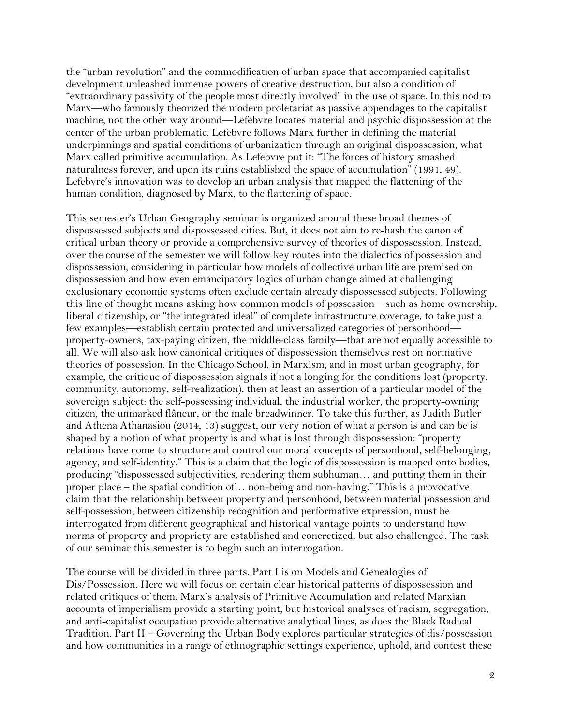the "urban revolution" and the commodification of urban space that accompanied capitalist development unleashed immense powers of creative destruction, but also a condition of "extraordinary passivity of the people most directly involved" in the use of space. In this nod to Marx—who famously theorized the modern proletariat as passive appendages to the capitalist machine, not the other way around—Lefebvre locates material and psychic dispossession at the center of the urban problematic. Lefebvre follows Marx further in defining the material underpinnings and spatial conditions of urbanization through an original dispossession, what Marx called primitive accumulation. As Lefebvre put it: "The forces of history smashed naturalness forever, and upon its ruins established the space of accumulation" (1991, 49). Lefebvre's innovation was to develop an urban analysis that mapped the flattening of the human condition, diagnosed by Marx, to the flattening of space.

This semester's Urban Geography seminar is organized around these broad themes of dispossessed subjects and dispossessed cities. But, it does not aim to re-hash the canon of critical urban theory or provide a comprehensive survey of theories of dispossession. Instead, over the course of the semester we will follow key routes into the dialectics of possession and dispossession, considering in particular how models of collective urban life are premised on dispossession and how even emancipatory logics of urban change aimed at challenging exclusionary economic systems often exclude certain already dispossessed subjects. Following this line of thought means asking how common models of possession—such as home ownership, liberal citizenship, or "the integrated ideal" of complete infrastructure coverage, to take just a few examples—establish certain protected and universalized categories of personhood property-owners, tax-paying citizen, the middle-class family—that are not equally accessible to all. We will also ask how canonical critiques of dispossession themselves rest on normative theories of possession. In the Chicago School, in Marxism, and in most urban geography, for example, the critique of dispossession signals if not a longing for the conditions lost (property, community, autonomy, self-realization), then at least an assertion of a particular model of the sovereign subject: the self-possessing individual, the industrial worker, the property-owning citizen, the unmarked flâneur, or the male breadwinner. To take this further, as Judith Butler and Athena Athanasiou (2014, 13) suggest, our very notion of what a person is and can be is shaped by a notion of what property is and what is lost through dispossession: "property relations have come to structure and control our moral concepts of personhood, self-belonging, agency, and self-identity." This is a claim that the logic of dispossession is mapped onto bodies, producing "dispossessed subjectivities, rendering them subhuman… and putting them in their proper place – the spatial condition of… non-being and non-having." This is a provocative claim that the relationship between property and personhood, between material possession and self-possession, between citizenship recognition and performative expression, must be interrogated from different geographical and historical vantage points to understand how norms of property and propriety are established and concretized, but also challenged. The task of our seminar this semester is to begin such an interrogation.

The course will be divided in three parts. Part I is on Models and Genealogies of Dis/Possession. Here we will focus on certain clear historical patterns of dispossession and related critiques of them. Marx's analysis of Primitive Accumulation and related Marxian accounts of imperialism provide a starting point, but historical analyses of racism, segregation, and anti-capitalist occupation provide alternative analytical lines, as does the Black Radical Tradition. Part II – Governing the Urban Body explores particular strategies of dis/possession and how communities in a range of ethnographic settings experience, uphold, and contest these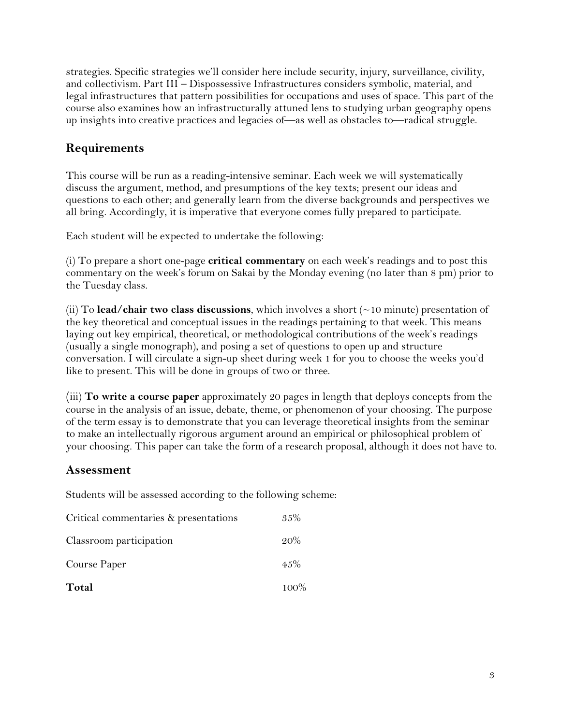strategies. Specific strategies we'll consider here include security, injury, surveillance, civility, and collectivism. Part III – Dispossessive Infrastructures considers symbolic, material, and legal infrastructures that pattern possibilities for occupations and uses of space. This part of the course also examines how an infrastructurally attuned lens to studying urban geography opens up insights into creative practices and legacies of—as well as obstacles to—radical struggle.

# **Requirements**

This course will be run as a reading-intensive seminar. Each week we will systematically discuss the argument, method, and presumptions of the key texts; present our ideas and questions to each other; and generally learn from the diverse backgrounds and perspectives we all bring. Accordingly, it is imperative that everyone comes fully prepared to participate.

Each student will be expected to undertake the following:

(i) To prepare a short one-page **critical commentary** on each week's readings and to post this commentary on the week's forum on Sakai by the Monday evening (no later than 8 pm) prior to the Tuesday class.

(ii) To **lead/chair two class discussions**, which involves a short (~10 minute) presentation of the key theoretical and conceptual issues in the readings pertaining to that week. This means laying out key empirical, theoretical, or methodological contributions of the week's readings (usually a single monograph), and posing a set of questions to open up and structure conversation. I will circulate a sign-up sheet during week 1 for you to choose the weeks you'd like to present. This will be done in groups of two or three.

(iii) **To write a course paper** approximately 20 pages in length that deploys concepts from the course in the analysis of an issue, debate, theme, or phenomenon of your choosing. The purpose of the term essay is to demonstrate that you can leverage theoretical insights from the seminar to make an intellectually rigorous argument around an empirical or philosophical problem of your choosing. This paper can take the form of a research proposal, although it does not have to.

# **Assessment**

Students will be assessed according to the following scheme:

| Critical commentaries & presentations | 35%     |
|---------------------------------------|---------|
| Classroom participation               | 20%     |
| Course Paper                          | $4.5\%$ |
| Total                                 | $100\%$ |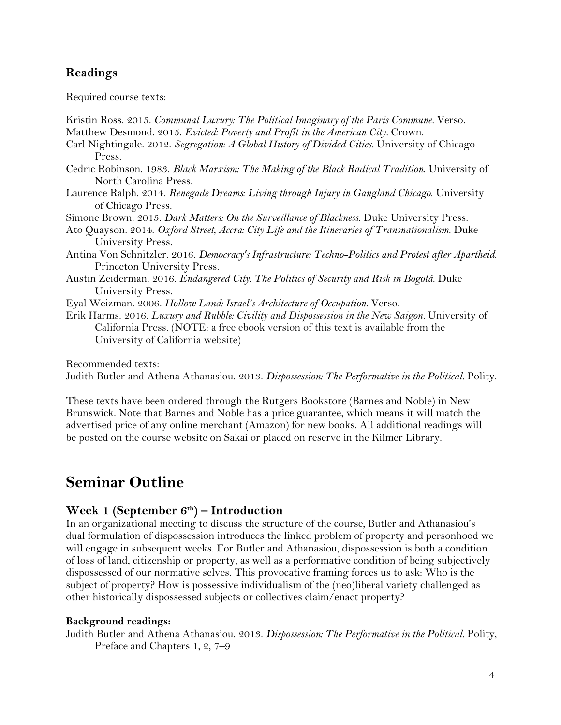# **Readings**

Required course texts:

| Kristin Ross. 2015. Communal Luxury: The Political Imaginary of the Paris Commune. Verso.                                                                                                                                 |
|---------------------------------------------------------------------------------------------------------------------------------------------------------------------------------------------------------------------------|
| Matthew Desmond. 2015. Evicted: Poverty and Profit in the American City. Crown.                                                                                                                                           |
| Carl Nightingale. 2012. Segregation: A Global History of Divided Cities. University of Chicago                                                                                                                            |
| Press.                                                                                                                                                                                                                    |
| Cedric Robinson. 1983. Black Marxism: The Making of the Black Radical Tradition. University of<br>North Carolina Press.                                                                                                   |
| Laurence Ralph. 2014. Renegade Dreams: Living through Injury in Gangland Chicago. University<br>of Chicago Press.                                                                                                         |
| Simone Brown. 2015. Dark Matters: On the Surveillance of Blackness. Duke University Press.                                                                                                                                |
| Ato Quayson. 2014. Oxford Street, Accra: City Life and the Itineraries of Transnationalism. Duke<br>University Press.                                                                                                     |
| Antina Von Schnitzler. 2016. Democracy's Infrastructure: Techno-Politics and Protest after Apartheid.<br>Princeton University Press.                                                                                      |
| Austin Zeiderman. 2016. Endangered City: The Politics of Security and Risk in Bogotá. Duke<br>University Press.                                                                                                           |
| Eyal Weizman. 2006. Hollow Land: Israel's Architecture of Occupation. Verso.                                                                                                                                              |
| Erik Harms. 2016. Luxury and Rubble: Civility and Dispossession in the New Saigon. University of<br>California Press. (NOTE: a free ebook version of this text is available from the<br>University of California website) |
| Recommended texts:                                                                                                                                                                                                        |
| Judith Butler and Athena Athanasiou. 2013. Dispossession: The Performative in the Political. Polity.                                                                                                                      |

These texts have been ordered through the Rutgers Bookstore (Barnes and Noble) in New Brunswick. Note that Barnes and Noble has a price guarantee, which means it will match the advertised price of any online merchant (Amazon) for new books. All additional readings will be posted on the course website on Sakai or placed on reserve in the Kilmer Library.

# **Seminar Outline**

# **Week 1 (September 6th) – Introduction**

In an organizational meeting to discuss the structure of the course, Butler and Athanasiou's dual formulation of dispossession introduces the linked problem of property and personhood we will engage in subsequent weeks. For Butler and Athanasiou, dispossession is both a condition of loss of land, citizenship or property, as well as a performative condition of being subjectively dispossessed of our normative selves. This provocative framing forces us to ask: Who is the subject of property? How is possessive individualism of the (neo)liberal variety challenged as other historically dispossessed subjects or collectives claim/enact property?

### **Background readings:**

Judith Butler and Athena Athanasiou. 2013. *Dispossession: The Performative in the Political.* Polity, Preface and Chapters 1, 2, 7–9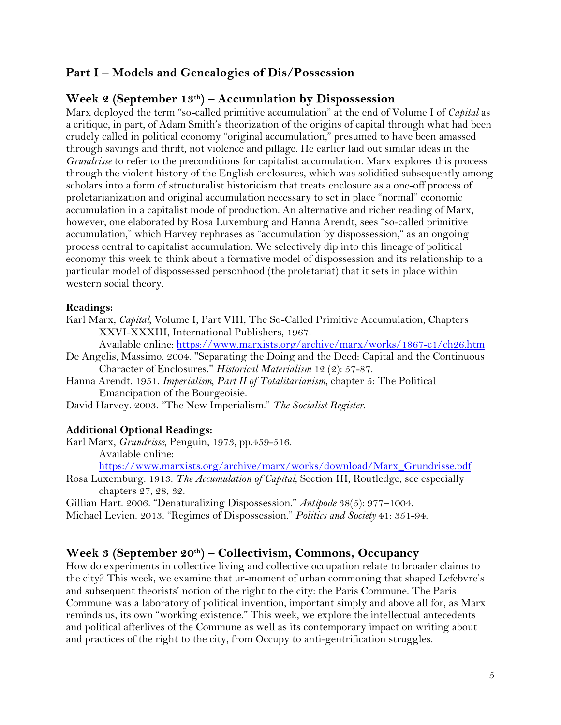# **Part I – Models and Genealogies of Dis/Possession**

## **Week 2 (September 13th) – Accumulation by Dispossession**

Marx deployed the term "so-called primitive accumulation" at the end of Volume I of *Capital* as a critique, in part, of Adam Smith's theorization of the origins of capital through what had been crudely called in political economy "original accumulation," presumed to have been amassed through savings and thrift, not violence and pillage. He earlier laid out similar ideas in the *Grundrisse* to refer to the preconditions for capitalist accumulation. Marx explores this process through the violent history of the English enclosures, which was solidified subsequently among scholars into a form of structuralist historicism that treats enclosure as a one-off process of proletarianization and original accumulation necessary to set in place "normal" economic accumulation in a capitalist mode of production. An alternative and richer reading of Marx, however, one elaborated by Rosa Luxemburg and Hanna Arendt, sees "so-called primitive accumulation," which Harvey rephrases as "accumulation by dispossession," as an ongoing process central to capitalist accumulation. We selectively dip into this lineage of political economy this week to think about a formative model of dispossession and its relationship to a particular model of dispossessed personhood (the proletariat) that it sets in place within western social theory.

#### **Readings:**

Karl Marx, *Capital*, Volume I, Part VIII, The So-Called Primitive Accumulation, Chapters XXVI-XXXIII, International Publishers, 1967.

Available online: https://www.marxists.org/archive/marx/works/1867-c1/ch26.htm

- De Angelis, Massimo. 2004. "Separating the Doing and the Deed: Capital and the Continuous Character of Enclosures." *Historical Materialism* 12 (2): 57-87.
- Hanna Arendt. 1951. *Imperialism, Part II of Totalitarianism*, chapter 5: The Political Emancipation of the Bourgeoisie.

David Harvey. 2003. "The New Imperialism." *The Socialist Register*.

#### **Additional Optional Readings:**

Karl Marx, *Grundrisse*, Penguin, 1973, pp.459-516. Available online:

https://www.marxists.org/archive/marx/works/download/Marx\_Grundrisse.pdf

Rosa Luxemburg. 1913. *The Accumulation of Capital*, Section III, Routledge, see especially chapters 27, 28, 32.

Gillian Hart. 2006. "Denaturalizing Dispossession." *Antipode* 38(5): 977–1004.

Michael Levien. 2013. "Regimes of Dispossession." *Politics and Society* 41: 351-94.

### **Week 3 (September 20th) – Collectivism, Commons, Occupancy**

How do experiments in collective living and collective occupation relate to broader claims to the city? This week, we examine that ur-moment of urban commoning that shaped Lefebvre's and subsequent theorists' notion of the right to the city: the Paris Commune. The Paris Commune was a laboratory of political invention, important simply and above all for, as Marx reminds us, its own "working existence." This week, we explore the intellectual antecedents and political afterlives of the Commune as well as its contemporary impact on writing about and practices of the right to the city, from Occupy to anti-gentrification struggles.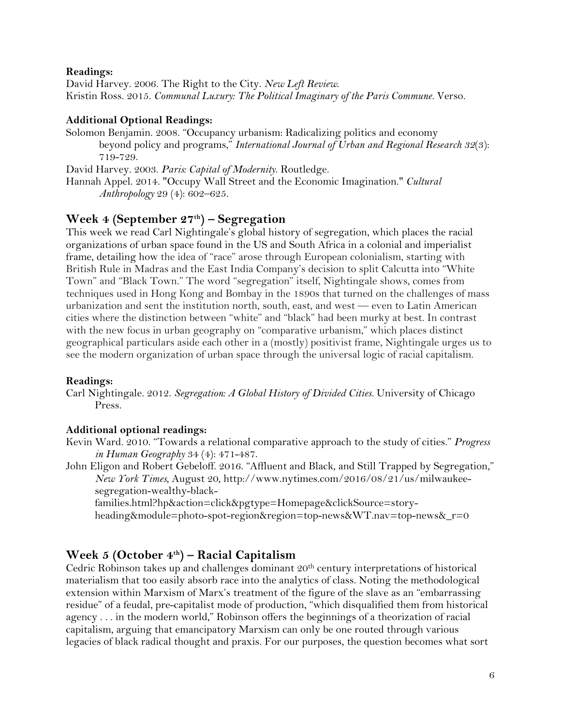#### **Readings:**

David Harvey. 2006. The Right to the City. *New Left Review*. Kristin Ross. 2015. *Communal Luxury: The Political Imaginary of the Paris Commune.* Verso.

#### **Additional Optional Readings:**

Solomon Benjamin. 2008. "Occupancy urbanism: Radicalizing politics and economy beyond policy and programs," *International Journal of Urban and Regional Research 32*(3): 719-729.

David Harvey. 2003. *Paris: Capital of Modernity*. Routledge.

Hannah Appel. 2014. "Occupy Wall Street and the Economic Imagination." *Cultural Anthropology* 29 (4): 602–625.

# **Week 4 (September 27th) – Segregation**

This week we read Carl Nightingale's global history of segregation, which places the racial organizations of urban space found in the US and South Africa in a colonial and imperialist frame, detailing how the idea of "race" arose through European colonialism, starting with British Rule in Madras and the East India Company's decision to split Calcutta into "White Town" and "Black Town." The word "segregation" itself, Nightingale shows, comes from techniques used in Hong Kong and Bombay in the 1890s that turned on the challenges of mass urbanization and sent the institution north, south, east, and west — even to Latin American cities where the distinction between "white" and "black" had been murky at best. In contrast with the new focus in urban geography on "comparative urbanism," which places distinct geographical particulars aside each other in a (mostly) positivist frame, Nightingale urges us to see the modern organization of urban space through the universal logic of racial capitalism.

#### **Readings:**

Carl Nightingale. 2012. *Segregation: A Global History of Divided Cities.* University of Chicago Press.

### **Additional optional readings:**

Kevin Ward. 2010. "Towards a relational comparative approach to the study of cities." *Progress in Human Geography* 34 (4): 471-487.

John Eligon and Robert Gebeloff. 2016. "Affluent and Black, and Still Trapped by Segregation," *New York Times*, August 20, http://www.nytimes.com/2016/08/21/us/milwaukeesegregation-wealthy-black-

families.html?hp&action=click&pgtype=Homepage&clickSource=story-

heading&module=photo-spot-region&region=top-news&WT.nav=top-news&\_r=0

# **Week 5 (October 4th) – Racial Capitalism**

Cedric Robinson takes up and challenges dominant 20th century interpretations of historical materialism that too easily absorb race into the analytics of class. Noting the methodological extension within Marxism of Marx's treatment of the figure of the slave as an "embarrassing residue" of a feudal, pre-capitalist mode of production, "which disqualified them from historical agency . . . in the modern world," Robinson offers the beginnings of a theorization of racial capitalism, arguing that emancipatory Marxism can only be one routed through various legacies of black radical thought and praxis. For our purposes, the question becomes what sort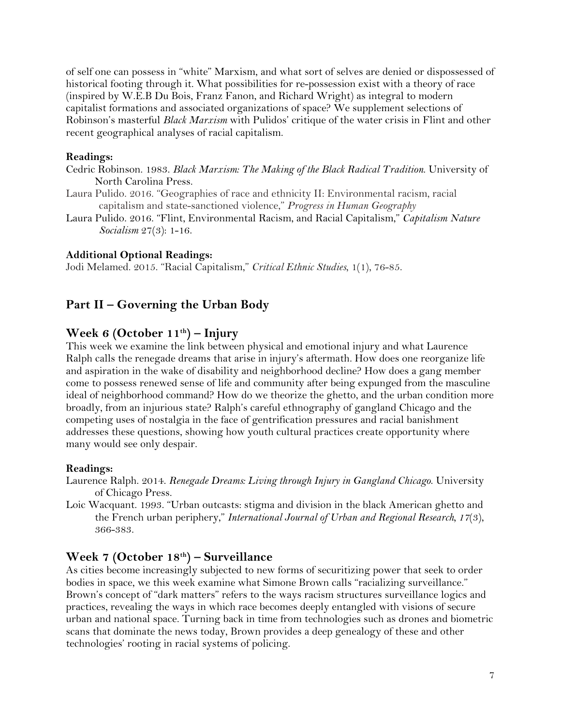of self one can possess in "white" Marxism, and what sort of selves are denied or dispossessed of historical footing through it. What possibilities for re-possession exist with a theory of race (inspired by W.E.B Du Bois, Franz Fanon, and Richard Wright) as integral to modern capitalist formations and associated organizations of space? We supplement selections of Robinson's masterful *Black Marxism* with Pulidos' critique of the water crisis in Flint and other recent geographical analyses of racial capitalism.

## **Readings:**

- Cedric Robinson. 1983. *Black Marxism: The Making of the Black Radical Tradition*. University of North Carolina Press.
- Laura Pulido. 2016. "Geographies of race and ethnicity II: Environmental racism, racial capitalism and state-sanctioned violence," *Progress in Human Geography*
- Laura Pulido. 2016. "Flint, Environmental Racism, and Racial Capitalism," *Capitalism Nature Socialism* 27(3): 1-16.

## **Additional Optional Readings:**

Jodi Melamed. 2015. "Racial Capitalism," *Critical Ethnic Studies*, 1(1), 76-85.

# **Part II – Governing the Urban Body**

# **Week 6 (October 11th) – Injury**

This week we examine the link between physical and emotional injury and what Laurence Ralph calls the renegade dreams that arise in injury's aftermath. How does one reorganize life and aspiration in the wake of disability and neighborhood decline? How does a gang member come to possess renewed sense of life and community after being expunged from the masculine ideal of neighborhood command? How do we theorize the ghetto, and the urban condition more broadly, from an injurious state? Ralph's careful ethnography of gangland Chicago and the competing uses of nostalgia in the face of gentrification pressures and racial banishment addresses these questions, showing how youth cultural practices create opportunity where many would see only despair.

### **Readings:**

- Laurence Ralph. 2014. *Renegade Dreams: Living through Injury in Gangland Chicago*. University of Chicago Press.
- Loic Wacquant. 1993. "Urban outcasts: stigma and division in the black American ghetto and the French urban periphery," *International Journal of Urban and Regional Research, 17*(3), 366-383.

# **Week 7 (October 18th) – Surveillance**

As cities become increasingly subjected to new forms of securitizing power that seek to order bodies in space, we this week examine what Simone Brown calls "racializing surveillance." Brown's concept of "dark matters" refers to the ways racism structures surveillance logics and practices, revealing the ways in which race becomes deeply entangled with visions of secure urban and national space. Turning back in time from technologies such as drones and biometric scans that dominate the news today, Brown provides a deep genealogy of these and other technologies' rooting in racial systems of policing.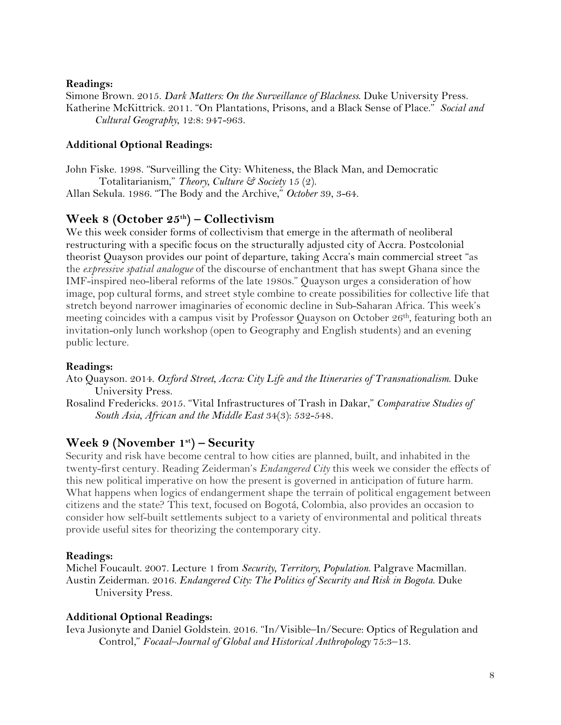#### **Readings:**

Simone Brown. 2015. *Dark Matters: On the Surveillance of Blackness*. Duke University Press. Katherine McKittrick. 2011. "On Plantations, Prisons, and a Black Sense of Place." *Social and Cultural Geography*, 12:8: 947-963.

### **Additional Optional Readings:**

John Fiske. 1998. "Surveilling the City: Whiteness, the Black Man, and Democratic Totalitarianism," *Theory, Culture & Society* 15 (2). Allan Sekula. 1986. "The Body and the Archive," *October* 39, 3-64.

# **Week 8 (October 25th) – Collectivism**

We this week consider forms of collectivism that emerge in the aftermath of neoliberal restructuring with a specific focus on the structurally adjusted city of Accra. Postcolonial theorist Quayson provides our point of departure, taking Accra's main commercial street "as the *expressive spatial analogue* of the discourse of enchantment that has swept Ghana since the IMF-inspired neo-liberal reforms of the late 1980s." Quayson urges a consideration of how image, pop cultural forms, and street style combine to create possibilities for collective life that stretch beyond narrower imaginaries of economic decline in Sub-Saharan Africa. This week's meeting coincides with a campus visit by Professor Quayson on October 26<sup>th</sup>, featuring both an invitation-only lunch workshop (open to Geography and English students) and an evening public lecture.

#### **Readings:**

Ato Quayson. 2014. *Oxford Street, Accra: City Life and the Itineraries of Transnationalism*. Duke University Press.

Rosalind Fredericks. 2015. "Vital Infrastructures of Trash in Dakar," *Comparative Studies of South Asia, African and the Middle East* 34(3): 532-548.

# **Week 9 (November 1st) – Security**

Security and risk have become central to how cities are planned, built, and inhabited in the twenty-first century. Reading Zeiderman's *Endangered City* this week we consider the effects of this new political imperative on how the present is governed in anticipation of future harm. What happens when logics of endangerment shape the terrain of political engagement between citizens and the state? This text, focused on Bogotá, Colombia, also provides an occasion to consider how self-built settlements subject to a variety of environmental and political threats provide useful sites for theorizing the contemporary city.

#### **Readings:**

Michel Foucault. 2007. Lecture 1 from *Security, Territory, Population*. Palgrave Macmillan. Austin Zeiderman. 2016. *Endangered City: The Politics of Security and Risk in Bogota*. Duke University Press.

#### **Additional Optional Readings:**

Ieva Jusionyte and Daniel Goldstein. 2016. "In/Visible–In/Secure: Optics of Regulation and Control," *Focaal–Journal of Global and Historical Anthropology* 75:3–13.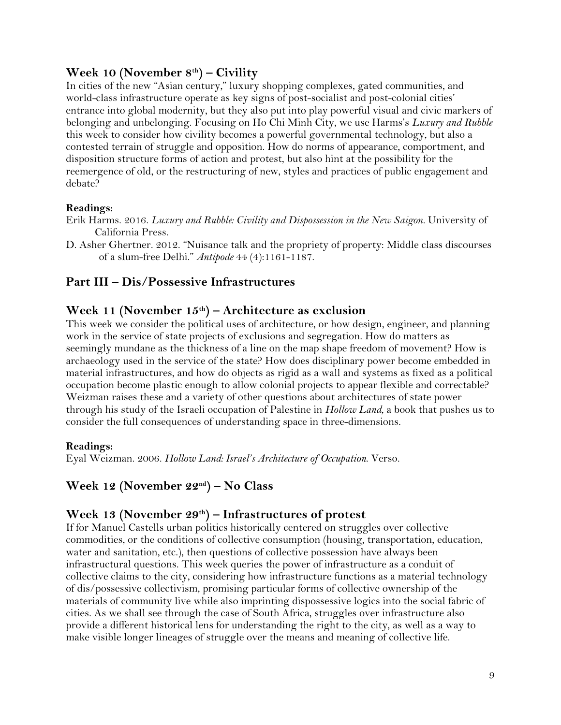# **Week 10 (November 8th) – Civility**

In cities of the new "Asian century," luxury shopping complexes, gated communities, and world-class infrastructure operate as key signs of post-socialist and post-colonial cities' entrance into global modernity, but they also put into play powerful visual and civic markers of belonging and unbelonging. Focusing on Ho Chi Minh City, we use Harms's *Luxury and Rubble*  this week to consider how civility becomes a powerful governmental technology, but also a contested terrain of struggle and opposition. How do norms of appearance, comportment, and disposition structure forms of action and protest, but also hint at the possibility for the reemergence of old, or the restructuring of new, styles and practices of public engagement and debate?

### **Readings:**

Erik Harms. 2016. *Luxury and Rubble: Civility and Dispossession in the New Saigon.* University of California Press.

D. Asher Ghertner. 2012. "Nuisance talk and the propriety of property: Middle class discourses of a slum-free Delhi." *Antipode* 44 (4):1161-1187.

# **Part III – Dis/Possessive Infrastructures**

# **Week 11 (November 15th) – Architecture as exclusion**

This week we consider the political uses of architecture, or how design, engineer, and planning work in the service of state projects of exclusions and segregation. How do matters as seemingly mundane as the thickness of a line on the map shape freedom of movement? How is archaeology used in the service of the state? How does disciplinary power become embedded in material infrastructures, and how do objects as rigid as a wall and systems as fixed as a political occupation become plastic enough to allow colonial projects to appear flexible and correctable? Weizman raises these and a variety of other questions about architectures of state power through his study of the Israeli occupation of Palestine in *Hollow Land*, a book that pushes us to consider the full consequences of understanding space in three-dimensions.

### **Readings:**

Eyal Weizman. 2006. *Hollow Land: Israel's Architecture of Occupation*. Verso.

# **Week 12 (November 22nd) – No Class**

# **Week 13 (November 29th) – Infrastructures of protest**

If for Manuel Castells urban politics historically centered on struggles over collective commodities, or the conditions of collective consumption (housing, transportation, education, water and sanitation, etc.), then questions of collective possession have always been infrastructural questions. This week queries the power of infrastructure as a conduit of collective claims to the city, considering how infrastructure functions as a material technology of dis/possessive collectivism, promising particular forms of collective ownership of the materials of community live while also imprinting dispossessive logics into the social fabric of cities. As we shall see through the case of South Africa, struggles over infrastructure also provide a different historical lens for understanding the right to the city, as well as a way to make visible longer lineages of struggle over the means and meaning of collective life.